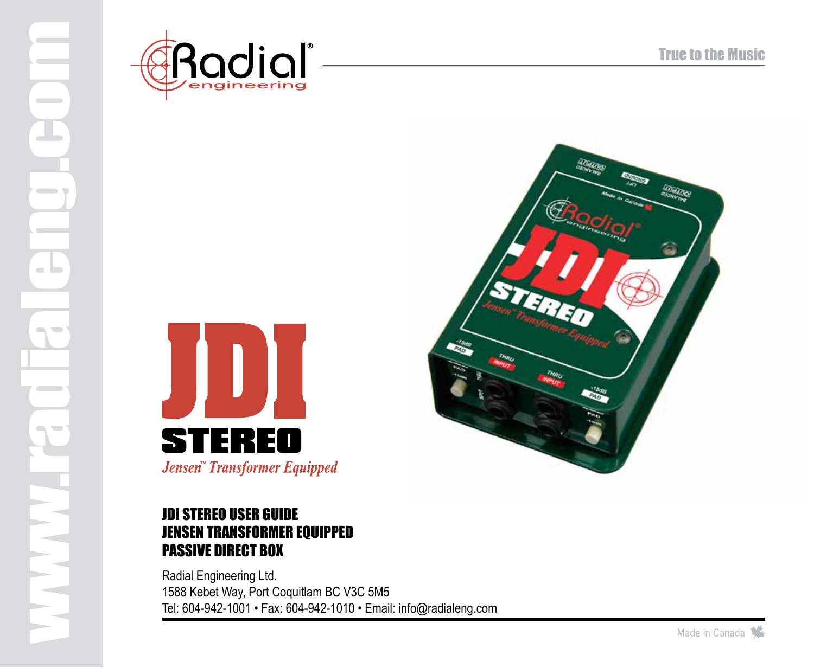

 $\sim$ 

 $\sim$ 

a la

 $\sim$   $\sim$ 

 $\sim$  $\overline{\phantom{a}}$ 





### jdi stereo user guide jensen transformer equipped passive direct box

Radial Engineering Ltd. 1588 Kebet Way, Port Coquitlam BC V3C 5M5 Tel: 604-942-1001 • Fax: 604-942-1010 • Email: info@radialeng.com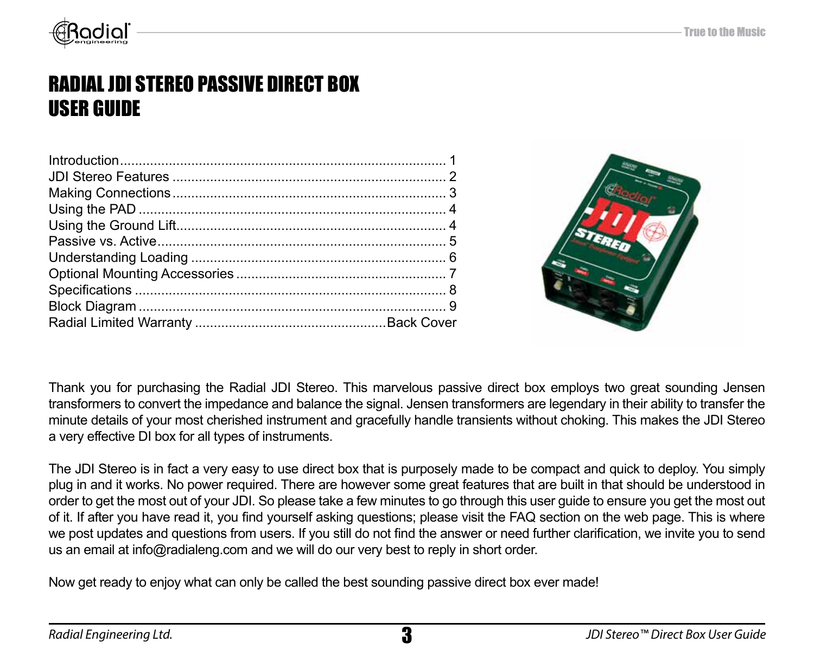

## radial jdi stereo passive direct box user guide



Thank you for purchasing the Radial JDI Stereo. This marvelous passive direct box employs two great sounding Jensen transformers to convert the impedance and balance the signal. Jensen transformers are legendary in their ability to transfer the minute details of your most cherished instrument and gracefully handle transients without choking. This makes the JDI Stereo a very effective DI box for all types of instruments.

The JDI Stereo is in fact a very easy to use direct box that is purposely made to be compact and quick to deploy. You simply plug in and it works. No power required. There are however some great features that are built in that should be understood in order to get the most out of your JDI. So please take a few minutes to go through this user guide to ensure you get the most out of it. If after you have read it, you find yourself asking questions; please visit the FAQ section on the web page. This is where we post updates and questions from users. If you still do not find the answer or need further clarification, we invite you to send us an email at info@radialeng.com and we will do our very best to reply in short order.

Now get ready to enjoy what can only be called the best sounding passive direct box ever made!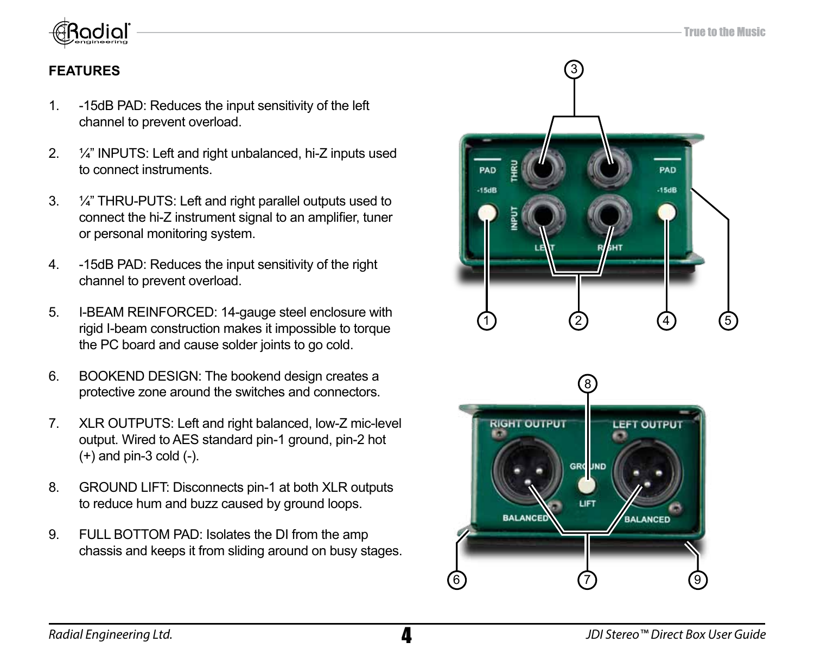

### **FEATURES**

- 1. -15dB PAD: Reduces the input sensitivity of the left channel to prevent overload.
- 2. ¼" INPUTS: Left and right unbalanced, hi-Z inputs used to connect instruments.
- 3. ¼" THRU-PUTS: Left and right parallel outputs used to connect the hi-Z instrument signal to an amplifier, tuner or personal monitoring system.
- 4. -15dB PAD: Reduces the input sensitivity of the right channel to prevent overload.
- 5. I-BEAM REINFORCED: 14-gauge steel enclosure with rigid I-beam construction makes it impossible to torque the PC board and cause solder joints to go cold.
- 6. BOOKEND DESIGN: The bookend design creates a protective zone around the switches and connectors.
- 7. XLR OUTPUTS: Left and right balanced, low-Z mic-level output. Wired to AES standard pin-1 ground, pin-2 hot  $(+)$  and pin-3 cold  $(-)$ .
- 8. GROUND LIFT: Disconnects pin-1 at both XLR outputs to reduce hum and buzz caused by ground loops.
- 9. FULL BOTTOM PAD: Isolates the DI from the amp chassis and keeps it from sliding around on busy stages.



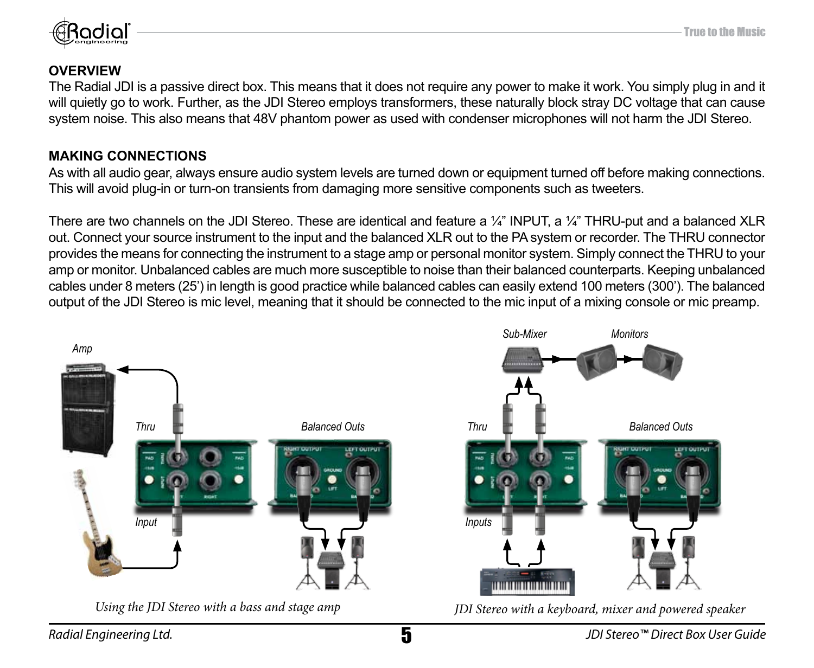

### **OVERVIEW**

The Radial JDI is a passive direct box. This means that it does not require any power to make it work. You simply plug in and it will quietly go to work. Further, as the JDI Stereo employs transformers, these naturally block stray DC voltage that can cause system noise. This also means that 48V phantom power as used with condenser microphones will not harm the JDI Stereo.

### **Making connections**

As with all audio gear, always ensure audio system levels are turned down or equipment turned off before making connections. This will avoid plug-in or turn-on transients from damaging more sensitive components such as tweeters.

There are two channels on the JDI Stereo. These are identical and feature a  $\frac{1}{4}$ " INPUT, a  $\frac{1}{4}$ " THRU-put and a balanced XLR out. Connect your source instrument to the input and the balanced XLR out to the PA system or recorder. The THRU connector provides the means for connecting the instrument to a stage amp or personal monitor system. Simply connect the THRU to your amp or monitor. Unbalanced cables are much more susceptible to noise than their balanced counterparts. Keeping unbalanced cables under 8 meters (25') in length is good practice while balanced cables can easily extend 100 meters (300'). The balanced output of the JDI Stereo is mic level, meaning that it should be connected to the mic input of a mixing console or mic preamp.

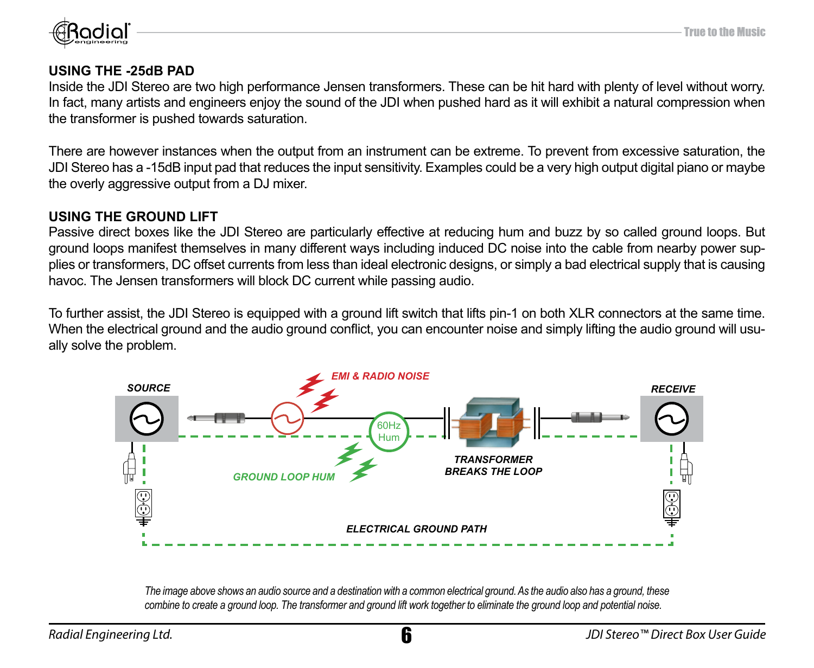

### **USING THE -25dB PAD**

Inside the JDI Stereo are two high performance Jensen transformers. These can be hit hard with plenty of level without worry. In fact, many artists and engineers enjoy the sound of the JDI when pushed hard as it will exhibit a natural compression when the transformer is pushed towards saturation.

There are however instances when the output from an instrument can be extreme. To prevent from excessive saturation, the JDI Stereo has a -15dB input pad that reduces the input sensitivity. Examples could be a very high output digital piano or maybe the overly aggressive output from a DJ mixer.

### **USING THE GROUND LIFT**

Passive direct boxes like the JDI Stereo are particularly effective at reducing hum and buzz by so called ground loops. But ground loops manifest themselves in many different ways including induced DC noise into the cable from nearby power supplies or transformers, DC offset currents from less than ideal electronic designs, or simply a bad electrical supply that is causing havoc. The Jensen transformers will block DC current while passing audio.

To further assist, the JDI Stereo is equipped with a ground lift switch that lifts pin-1 on both XLR connectors at the same time. When the electrical ground and the audio ground conflict, you can encounter noise and simply lifting the audio ground will usually solve the problem.



*The image above shows an audio source and a destination with a common electrical ground. As the audio also has a ground, these combine to create a ground loop. The transformer and ground lift work together to eliminate the ground loop and potential noise.*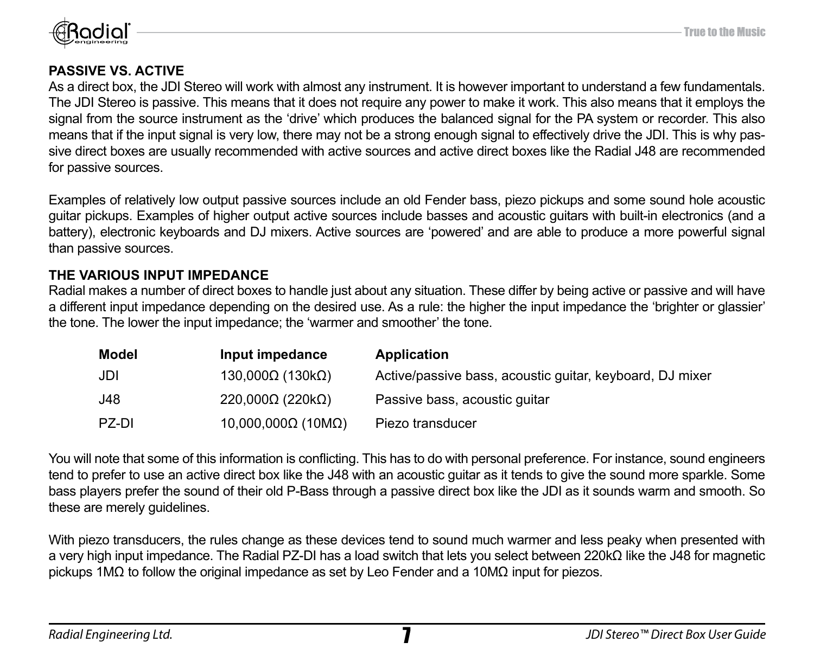

### **PASSIVE VS. ACTIVE**

As a direct box, the JDI Stereo will work with almost any instrument. It is however important to understand a few fundamentals. The JDI Stereo is passive. This means that it does not require any power to make it work. This also means that it employs the signal from the source instrument as the 'drive' which produces the balanced signal for the PA system or recorder. This also means that if the input signal is very low, there may not be a strong enough signal to effectively drive the JDI. This is why passive direct boxes are usually recommended with active sources and active direct boxes like the Radial J48 are recommended for passive sources.

Examples of relatively low output passive sources include an old Fender bass, piezo pickups and some sound hole acoustic guitar pickups. Examples of higher output active sources include basses and acoustic guitars with built-in electronics (and a battery), electronic keyboards and DJ mixers. Active sources are 'powered' and are able to produce a more powerful signal than passive sources.

### **THE VARIOUS INPUT IMPEDANCE**

Radial makes a number of direct boxes to handle just about any situation. These differ by being active or passive and will have a different input impedance depending on the desired use. As a rule: the higher the input impedance the 'brighter or glassier' the tone. The lower the input impedance; the 'warmer and smoother' the tone.

| Model | Input impedance                  | Application                                              |
|-------|----------------------------------|----------------------------------------------------------|
| JDI   | $130,000\Omega$ (130kΩ)          | Active/passive bass, acoustic quitar, keyboard, DJ mixer |
| J48   | $220,000\Omega$ (220k $\Omega$ ) | Passive bass, acoustic quitar                            |
| PZ-DI | 10,000,000Ω (10MΩ)               | Piezo transducer                                         |

You will note that some of this information is conflicting. This has to do with personal preference. For instance, sound engineers tend to prefer to use an active direct box like the J48 with an acoustic guitar as it tends to give the sound more sparkle. Some bass players prefer the sound of their old P-Bass through a passive direct box like the JDI as it sounds warm and smooth. So these are merely quidelines.

With piezo transducers, the rules change as these devices tend to sound much warmer and less peaky when presented with a very high input impedance. The Radial PZ-DI has a load switch that lets you select between 220kΩ like the J48 for magnetic pickups 1MΩ to follow the original impedance as set by Leo Fender and a 10MΩ input for piezos.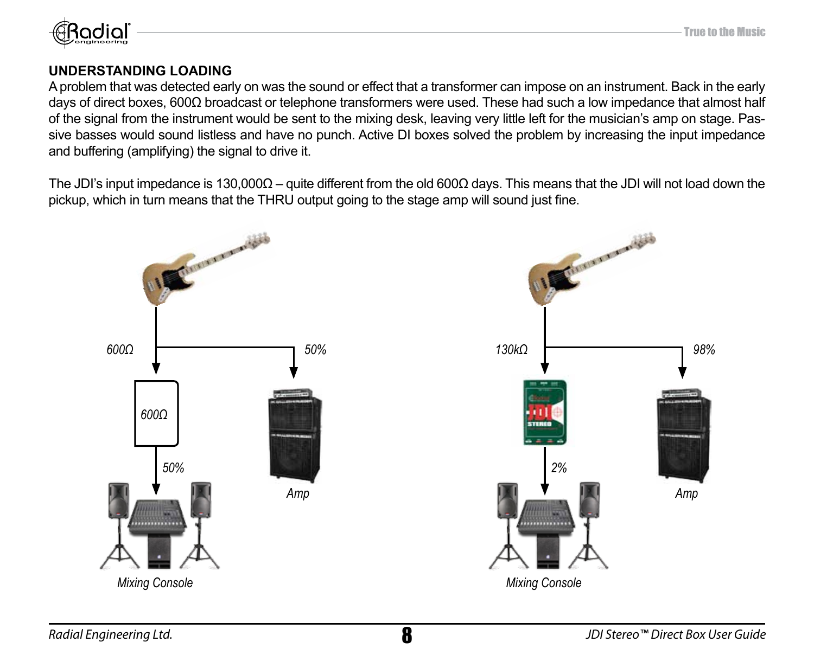

### **understanding loading**

A problem that was detected early on was the sound or effect that a transformer can impose on an instrument. Back in the early days of direct boxes, 600Ω broadcast or telephone transformers were used. These had such a low impedance that almost half of the signal from the instrument would be sent to the mixing desk, leaving very little left for the musician's amp on stage. Passive basses would sound listless and have no punch. Active DI boxes solved the problem by increasing the input impedance and buffering (amplifying) the signal to drive it.

The JDI's input impedance is 130,000Ω – quite different from the old 600Ω days. This means that the JDI will not load down the pickup, which in turn means that the THRU output going to the stage amp will sound just fine.

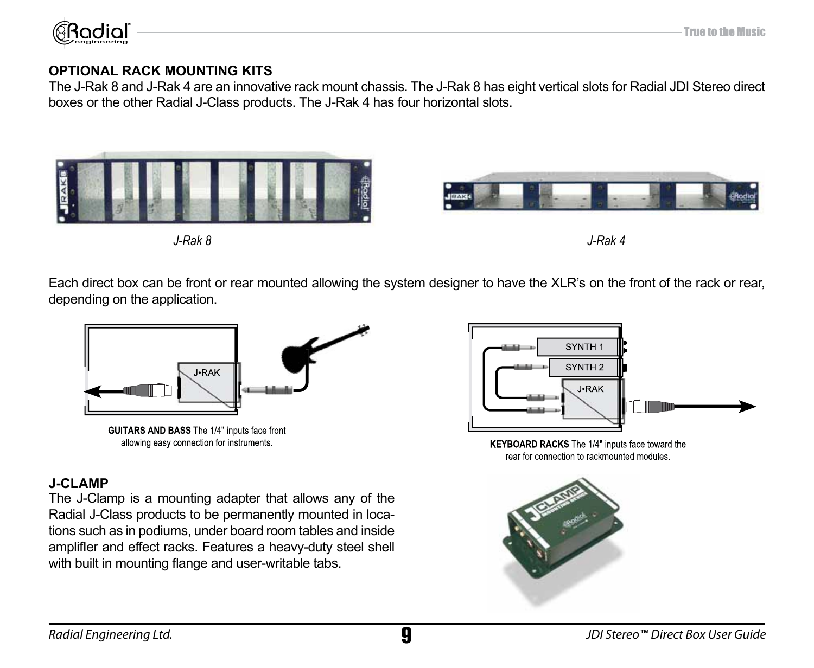

### **OPTIONAL RACK MOUNTING KITS**

The J-Rak 8 and J-Rak 4 are an innovative rack mount chassis. The J-Rak 8 has eight vertical slots for Radial JDI Stereo direct boxes or the other Radial J-Class products. The J-Rak 4 has four horizontal slots.



Each direct box can be front or rear mounted allowing the system designer to have the XLR's on the front of the rack or rear, depending on the application.



GUITARS AND BASS The 1/4" inputs face front allowing easy connection for instruments

### **J-CLAMP**

The J-Clamp is a mounting adapter that allows any of the Radial J-Class products to be permanently mounted in locations such as in podiums, under board room tables and inside amplifIer and effect racks. Features a heavy-duty steel shell with built in mounting flange and user-writable tabs.



KEYBOARD RACKS The 1/4" inputs face toward the rear for connection to rackmounted modules.

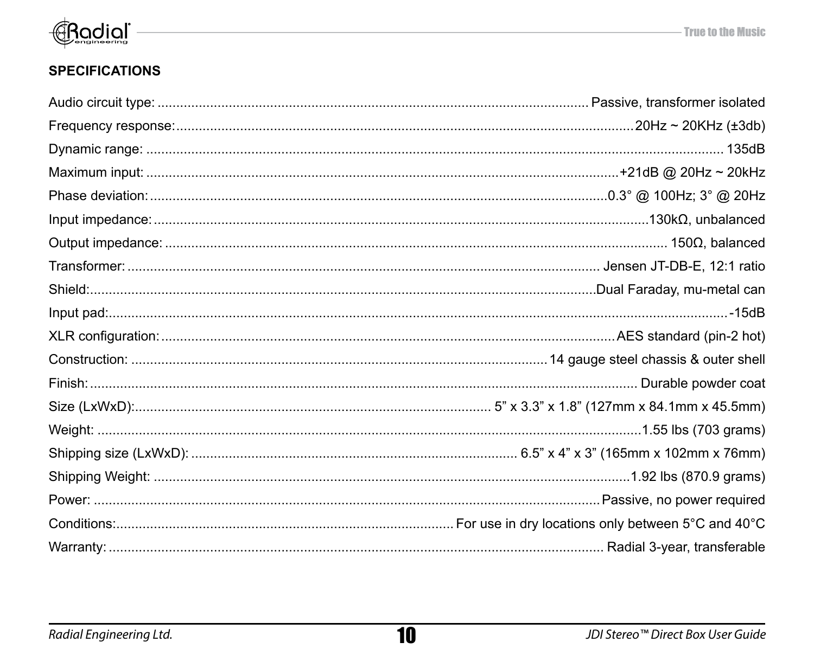

### **SPECIFICATIONS**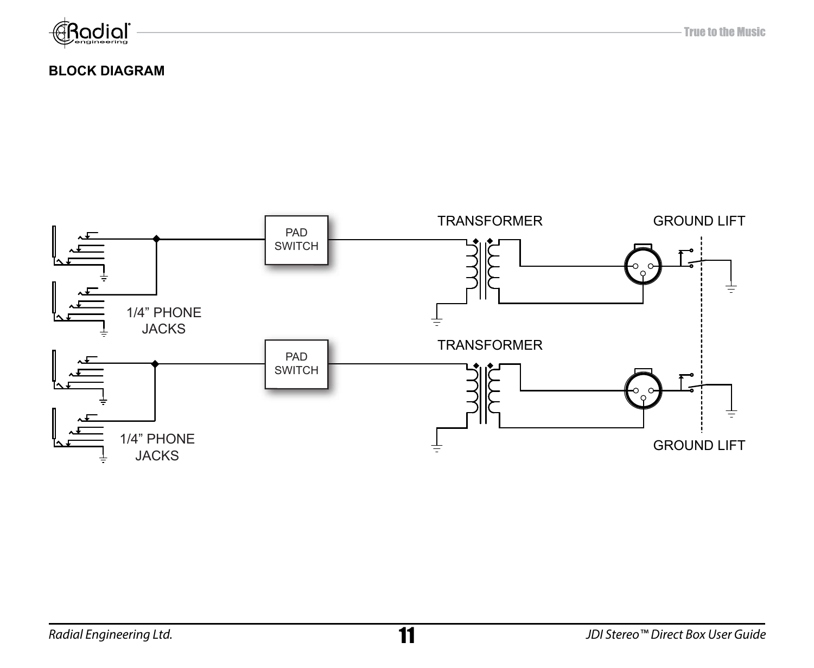

- True to the Music

### **BLOCK DIAGRAM**